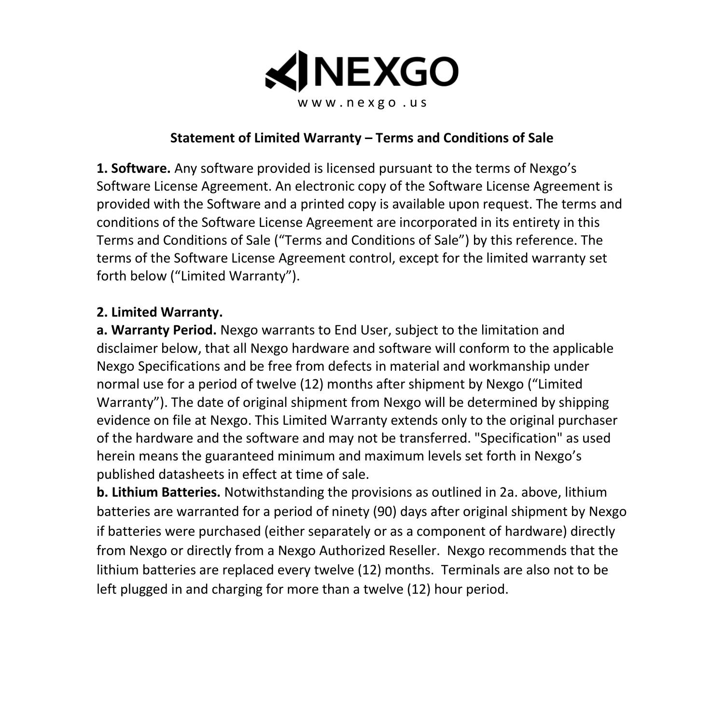

#### **Statement of Limited Warranty – Terms and Conditions of Sale**

**1. Software.** Any software provided is licensed pursuant to the terms of Nexgo's Software License Agreement. An electronic copy of the Software License Agreement is provided with the Software and a printed copy is available upon request. The terms and conditions of the Software License Agreement are incorporated in its entirety in this Terms and Conditions of Sale ("Terms and Conditions of Sale") by this reference. The terms of the Software License Agreement control, except for the limited warranty set forth below ("Limited Warranty").

#### **2. Limited Warranty.**

**a. Warranty Period.** Nexgo warrants to End User, subject to the limitation and disclaimer below, that all Nexgo hardware and software will conform to the applicable Nexgo Specifications and be free from defects in material and workmanship under normal use for a period of twelve (12) months after shipment by Nexgo ("Limited Warranty"). The date of original shipment from Nexgo will be determined by shipping evidence on file at Nexgo. This Limited Warranty extends only to the original purchaser of the hardware and the software and may not be transferred. "Specification" as used herein means the guaranteed minimum and maximum levels set forth in Nexgo's published datasheets in effect at time of sale.

**b. Lithium Batteries.** Notwithstanding the provisions as outlined in 2a. above, lithium batteries are warranted for a period of ninety (90) days after original shipment by Nexgo if batteries were purchased (either separately or as a component of hardware) directly from Nexgo or directly from a Nexgo Authorized Reseller. Nexgo recommends that the lithium batteries are replaced every twelve (12) months. Terminals are also not to be left plugged in and charging for more than a twelve (12) hour period.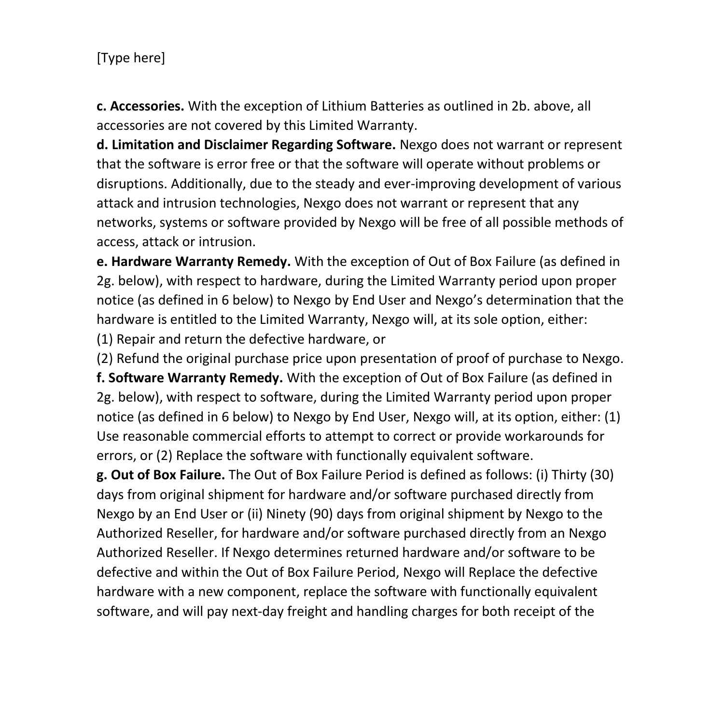**c. Accessories.** With the exception of Lithium Batteries as outlined in 2b. above, all accessories are not covered by this Limited Warranty.

**d. Limitation and Disclaimer Regarding Software.** Nexgo does not warrant or represent that the software is error free or that the software will operate without problems or disruptions. Additionally, due to the steady and ever-improving development of various attack and intrusion technologies, Nexgo does not warrant or represent that any networks, systems or software provided by Nexgo will be free of all possible methods of access, attack or intrusion.

**e. Hardware Warranty Remedy.** With the exception of Out of Box Failure (as defined in 2g. below), with respect to hardware, during the Limited Warranty period upon proper notice (as defined in 6 below) to Nexgo by End User and Nexgo's determination that the hardware is entitled to the Limited Warranty, Nexgo will, at its sole option, either:

(1) Repair and return the defective hardware, or

(2) Refund the original purchase price upon presentation of proof of purchase to Nexgo.

**f. Software Warranty Remedy.** With the exception of Out of Box Failure (as defined in 2g. below), with respect to software, during the Limited Warranty period upon proper notice (as defined in 6 below) to Nexgo by End User, Nexgo will, at its option, either: (1) Use reasonable commercial efforts to attempt to correct or provide workarounds for errors, or (2) Replace the software with functionally equivalent software.

**g. Out of Box Failure.** The Out of Box Failure Period is defined as follows: (i) Thirty (30) days from original shipment for hardware and/or software purchased directly from Nexgo by an End User or (ii) Ninety (90) days from original shipment by Nexgo to the Authorized Reseller, for hardware and/or software purchased directly from an Nexgo Authorized Reseller. If Nexgo determines returned hardware and/or software to be defective and within the Out of Box Failure Period, Nexgo will Replace the defective hardware with a new component, replace the software with functionally equivalent software, and will pay next-day freight and handling charges for both receipt of the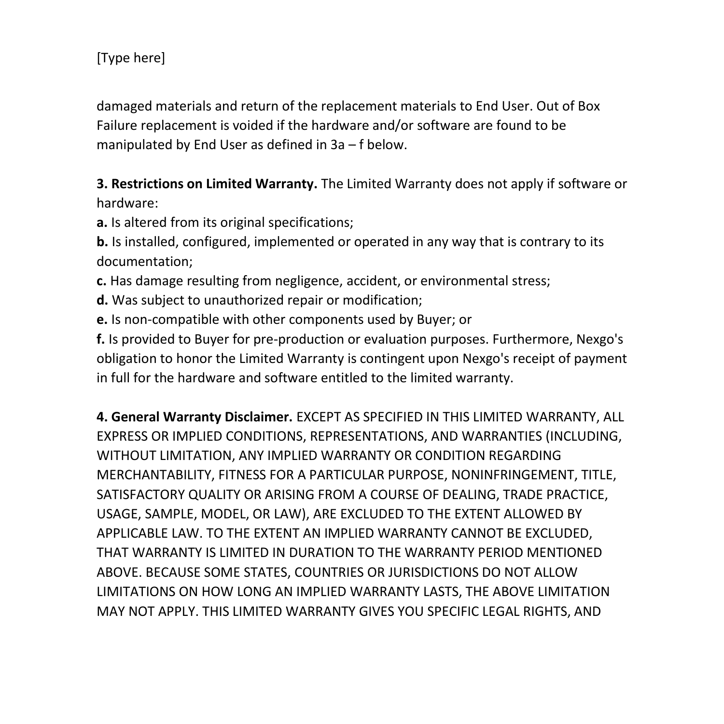damaged materials and return of the replacement materials to End User. Out of Box Failure replacement is voided if the hardware and/or software are found to be manipulated by End User as defined in 3a – f below.

# **3. Restrictions on Limited Warranty.** The Limited Warranty does not apply if software or hardware:

**a.** Is altered from its original specifications;

**b.** Is installed, configured, implemented or operated in any way that is contrary to its documentation;

**c.** Has damage resulting from negligence, accident, or environmental stress;

- **d.** Was subject to unauthorized repair or modification;
- **e.** Is non-compatible with other components used by Buyer; or

**f.** Is provided to Buyer for pre-production or evaluation purposes. Furthermore, Nexgo's obligation to honor the Limited Warranty is contingent upon Nexgo's receipt of payment in full for the hardware and software entitled to the limited warranty.

**4. General Warranty Disclaimer.** EXCEPT AS SPECIFIED IN THIS LIMITED WARRANTY, ALL EXPRESS OR IMPLIED CONDITIONS, REPRESENTATIONS, AND WARRANTIES (INCLUDING, WITHOUT LIMITATION, ANY IMPLIED WARRANTY OR CONDITION REGARDING MERCHANTABILITY, FITNESS FOR A PARTICULAR PURPOSE, NONINFRINGEMENT, TITLE, SATISFACTORY QUALITY OR ARISING FROM A COURSE OF DEALING, TRADE PRACTICE, USAGE, SAMPLE, MODEL, OR LAW), ARE EXCLUDED TO THE EXTENT ALLOWED BY APPLICABLE LAW. TO THE EXTENT AN IMPLIED WARRANTY CANNOT BE EXCLUDED, THAT WARRANTY IS LIMITED IN DURATION TO THE WARRANTY PERIOD MENTIONED ABOVE. BECAUSE SOME STATES, COUNTRIES OR JURISDICTIONS DO NOT ALLOW LIMITATIONS ON HOW LONG AN IMPLIED WARRANTY LASTS, THE ABOVE LIMITATION MAY NOT APPLY. THIS LIMITED WARRANTY GIVES YOU SPECIFIC LEGAL RIGHTS, AND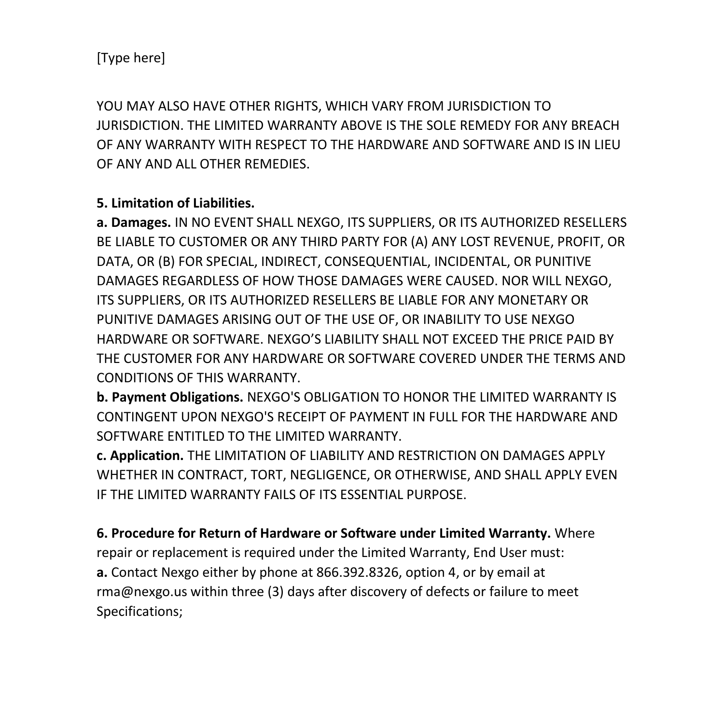YOU MAY ALSO HAVE OTHER RIGHTS, WHICH VARY FROM JURISDICTION TO JURISDICTION. THE LIMITED WARRANTY ABOVE IS THE SOLE REMEDY FOR ANY BREACH OF ANY WARRANTY WITH RESPECT TO THE HARDWARE AND SOFTWARE AND IS IN LIEU OF ANY AND ALL OTHER REMEDIES.

### **5. Limitation of Liabilities.**

**a. Damages.** IN NO EVENT SHALL NEXGO, ITS SUPPLIERS, OR ITS AUTHORIZED RESELLERS BE LIABLE TO CUSTOMER OR ANY THIRD PARTY FOR (A) ANY LOST REVENUE, PROFIT, OR DATA, OR (B) FOR SPECIAL, INDIRECT, CONSEQUENTIAL, INCIDENTAL, OR PUNITIVE DAMAGES REGARDLESS OF HOW THOSE DAMAGES WERE CAUSED. NOR WILL NEXGO, ITS SUPPLIERS, OR ITS AUTHORIZED RESELLERS BE LIABLE FOR ANY MONETARY OR PUNITIVE DAMAGES ARISING OUT OF THE USE OF, OR INABILITY TO USE NEXGO HARDWARE OR SOFTWARE. NEXGO'S LIABILITY SHALL NOT EXCEED THE PRICE PAID BY THE CUSTOMER FOR ANY HARDWARE OR SOFTWARE COVERED UNDER THE TERMS AND CONDITIONS OF THIS WARRANTY.

**b. Payment Obligations.** NEXGO'S OBLIGATION TO HONOR THE LIMITED WARRANTY IS CONTINGENT UPON NEXGO'S RECEIPT OF PAYMENT IN FULL FOR THE HARDWARE AND SOFTWARE ENTITLED TO THE LIMITED WARRANTY.

**c. Application.** THE LIMITATION OF LIABILITY AND RESTRICTION ON DAMAGES APPLY WHETHER IN CONTRACT, TORT, NEGLIGENCE, OR OTHERWISE, AND SHALL APPLY EVEN IF THE LIMITED WARRANTY FAILS OF ITS ESSENTIAL PURPOSE.

**6. Procedure for Return of Hardware or Software under Limited Warranty.** Where repair or replacement is required under the Limited Warranty, End User must: **a.** Contact Nexgo either by phone at 866.392.8326, option 4, or by email at rma@nexgo.us within three (3) days after discovery of defects or failure to meet Specifications;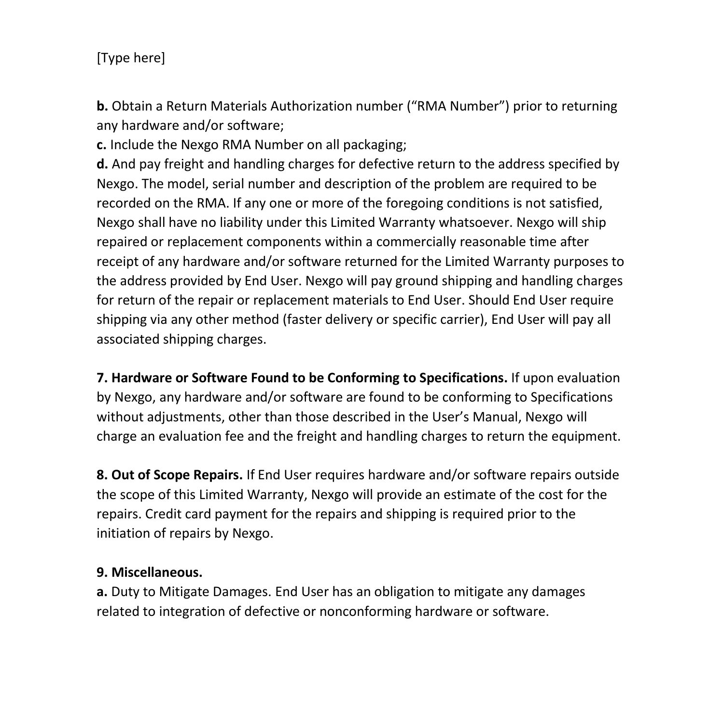**b.** Obtain a Return Materials Authorization number ("RMA Number") prior to returning any hardware and/or software;

**c.** Include the Nexgo RMA Number on all packaging;

**d.** And pay freight and handling charges for defective return to the address specified by Nexgo. The model, serial number and description of the problem are required to be recorded on the RMA. If any one or more of the foregoing conditions is not satisfied, Nexgo shall have no liability under this Limited Warranty whatsoever. Nexgo will ship repaired or replacement components within a commercially reasonable time after receipt of any hardware and/or software returned for the Limited Warranty purposes to the address provided by End User. Nexgo will pay ground shipping and handling charges for return of the repair or replacement materials to End User. Should End User require shipping via any other method (faster delivery or specific carrier), End User will pay all associated shipping charges.

**7. Hardware or Software Found to be Conforming to Specifications.** If upon evaluation by Nexgo, any hardware and/or software are found to be conforming to Specifications without adjustments, other than those described in the User's Manual, Nexgo will charge an evaluation fee and the freight and handling charges to return the equipment.

**8. Out of Scope Repairs.** If End User requires hardware and/or software repairs outside the scope of this Limited Warranty, Nexgo will provide an estimate of the cost for the repairs. Credit card payment for the repairs and shipping is required prior to the initiation of repairs by Nexgo.

### **9. Miscellaneous.**

**a.** Duty to Mitigate Damages. End User has an obligation to mitigate any damages related to integration of defective or nonconforming hardware or software.